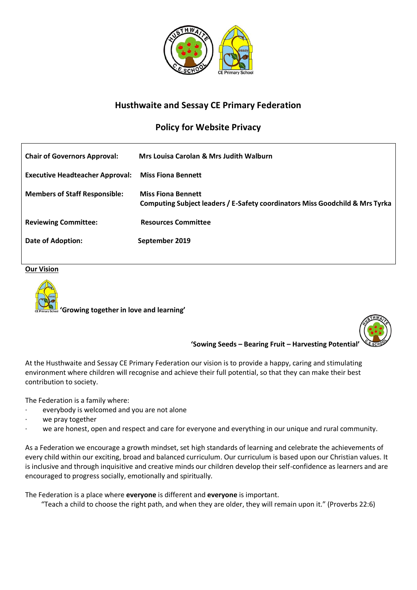

# **Husthwaite and Sessay CE Primary Federation**

# **Policy for Website Privacy**

| <b>Chair of Governors Approval:</b>    | Mrs Louisa Carolan & Mrs Judith Walburn                                                                   |
|----------------------------------------|-----------------------------------------------------------------------------------------------------------|
| <b>Executive Headteacher Approval:</b> | <b>Miss Fiona Bennett</b>                                                                                 |
| <b>Members of Staff Responsible:</b>   | <b>Miss Fiona Bennett</b><br>Computing Subject leaders / E-Safety coordinators Miss Goodchild & Mrs Tyrka |
| <b>Reviewing Committee:</b>            | <b>Resources Committee</b>                                                                                |
| Date of Adoption:                      | September 2019                                                                                            |

# **Our Vision**



 **'Growing together in love and learning'**



**'Sowing Seeds – Bearing Fruit – Harvesting Potential'**

At the Husthwaite and Sessay CE Primary Federation our vision is to provide a happy, caring and stimulating environment where children will recognise and achieve their full potential, so that they can make their best contribution to society.

The Federation is a family where:

- everybody is welcomed and you are not alone
- we pray together
- we are honest, open and respect and care for everyone and everything in our unique and rural community.

As a Federation we encourage a growth mindset, set high standards of learning and celebrate the achievements of every child within our exciting, broad and balanced curriculum. Our curriculum is based upon our Christian values. It is inclusive and through inquisitive and creative minds our children develop their self-confidence as learners and are encouraged to progress socially, emotionally and spiritually.

The Federation is a place where **everyone** is different and **everyone** is important. "Teach a child to choose the right path, and when they are older, they will remain upon it." (Proverbs 22:6)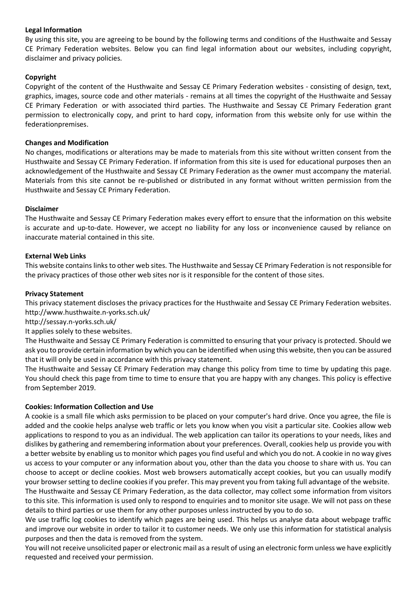# **Legal Information**

By using this site, you are agreeing to be bound by the following terms and conditions of the Husthwaite and Sessay CE Primary Federation websites. Below you can find legal information about our websites, including copyright, disclaimer and privacy policies.

# **Copyright**

Copyright of the content of the Husthwaite and Sessay CE Primary Federation websites - consisting of design, text, graphics, images, source code and other materials - remains at all times the copyright of the Husthwaite and Sessay CE Primary Federation or with associated third parties. The Husthwaite and Sessay CE Primary Federation grant permission to electronically copy, and print to hard copy, information from this website only for use within the federationpremises.

#### **Changes and Modification**

No changes, modifications or alterations may be made to materials from this site without written consent from the Husthwaite and Sessay CE Primary Federation. If information from this site is used for educational purposes then an acknowledgement of the Husthwaite and Sessay CE Primary Federation as the owner must accompany the material. Materials from this site cannot be re-published or distributed in any format without written permission from the Husthwaite and Sessay CE Primary Federation.

#### **Disclaimer**

The Husthwaite and Sessay CE Primary Federation makes every effort to ensure that the information on this website is accurate and up-to-date. However, we accept no liability for any loss or inconvenience caused by reliance on inaccurate material contained in this site.

# **External Web Links**

This website contains links to other web sites. The Husthwaite and Sessay CE Primary Federation is not responsible for the privacy practices of those other web sites nor is it responsible for the content of those sites.

#### **Privacy Statement**

This privacy statement discloses the privacy practices for the Husthwaite and Sessay CE Primary Federation websites. http://www.husthwaite.n-yorks.sch.uk/

<http://sessay.n-yorks.sch.uk/>

It applies solely to these websites. 

The Husthwaite and Sessay CE Primary Federation is committed to ensuring that your privacy is protected. Should we ask you to provide certain information by which you can be identified when using this website, then you can be assured that it will only be used in accordance with this privacy statement.

The Husthwaite and Sessay CE Primary Federation may change this policy from time to time by updating this page. You should check this page from time to time to ensure that you are happy with any changes. This policy is effective from September 2019.

#### **Cookies: Information Collection and Use**

A cookie is a small file which asks permission to be placed on your computer's hard drive. Once you agree, the file is added and the cookie helps analyse web traffic or lets you know when you visit a particular site. Cookies allow web applications to respond to you as an individual. The web application can tailor its operations to your needs, likes and dislikes by gathering and remembering information about your preferences. Overall, cookies help us provide you with a better website by enabling us to monitor which pages you find useful and which you do not. A cookie in no way gives us access to your computer or any information about you, other than the data you choose to share with us. You can choose to accept or decline cookies. Most web browsers automatically accept cookies, but you can usually modify your browser setting to decline cookies if you prefer. This may prevent you from taking full advantage of the website.

The Husthwaite and Sessay CE Primary Federation, as the data collector, may collect some information from visitors to this site. This information is used only to respond to enquiries and to monitor site usage. We will not pass on these details to third parties or use them for any other purposes unless instructed by you to do so.

We use traffic log cookies to identify which pages are being used. This helps us analyse data about webpage traffic and improve our website in order to tailor it to customer needs. We only use this information for statistical analysis purposes and then the data is removed from the system.

You will not receive unsolicited paper or electronic mail as a result of using an electronic form unless we have explicitly requested and received your permission.